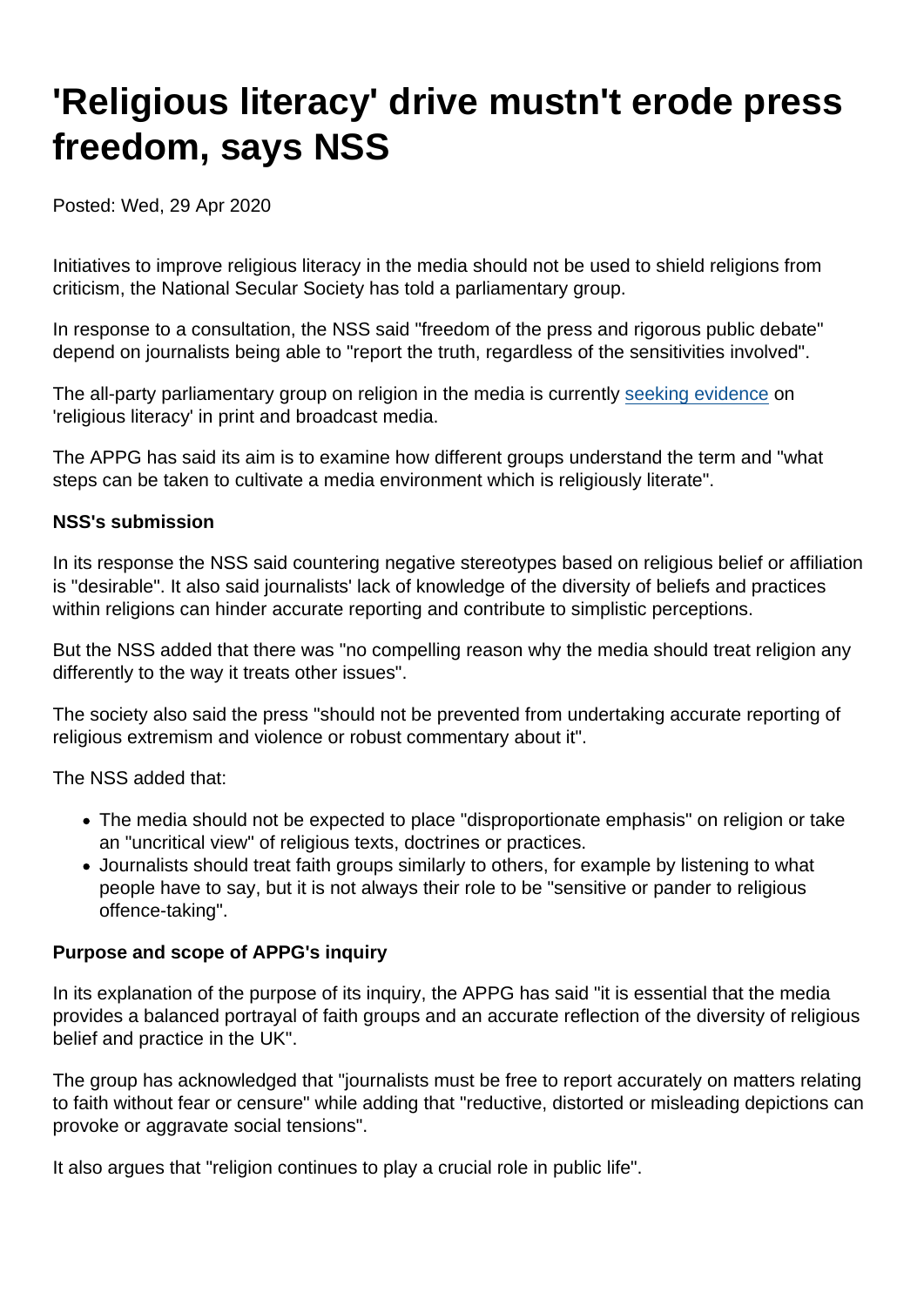# 'Religious literacy' drive mustn't erode press freedom, says NSS

Posted: Wed, 29 Apr 2020

Initiatives to improve religious literacy in the media should not be used to shield religions from criticism, the National Secular Society has told a parliamentary group.

In response to a consultation, the NSS said "freedom of the press and rigorous public debate" depend on journalists being able to "report the truth, regardless of the sensitivities involved".

The all-party parliamentary group on religion in the media is currently [seeking evidence](https://www.appgreligioninmedia.uk/inquiries) on 'religious literacy' in print and broadcast media.

The APPG has said its aim is to examine how different groups understand the term and "what steps can be taken to cultivate a media environment which is religiously literate".

#### NSS's submission

In its response the NSS said countering negative stereotypes based on religious belief or affiliation is "desirable". It also said journalists' lack of knowledge of the diversity of beliefs and practices within religions can hinder accurate reporting and contribute to simplistic perceptions.

But the NSS added that there was "no compelling reason why the media should treat religion any differently to the way it treats other issues".

The society also said the press "should not be prevented from undertaking accurate reporting of religious extremism and violence or robust commentary about it".

The NSS added that:

- The media should not be expected to place "disproportionate emphasis" on religion or take an "uncritical view" of religious texts, doctrines or practices.
- Journalists should treat faith groups similarly to others, for example by listening to what people have to say, but it is not always their role to be "sensitive or pander to religious offence-taking".

Purpose and scope of APPG's inquiry

In its explanation of the purpose of its inquiry, the APPG has said "it is essential that the media provides a balanced portrayal of faith groups and an accurate reflection of the diversity of religious belief and practice in the UK".

The group has acknowledged that "journalists must be free to report accurately on matters relating to faith without fear or censure" while adding that "reductive, distorted or misleading depictions can provoke or aggravate social tensions".

It also argues that "religion continues to play a crucial role in public life".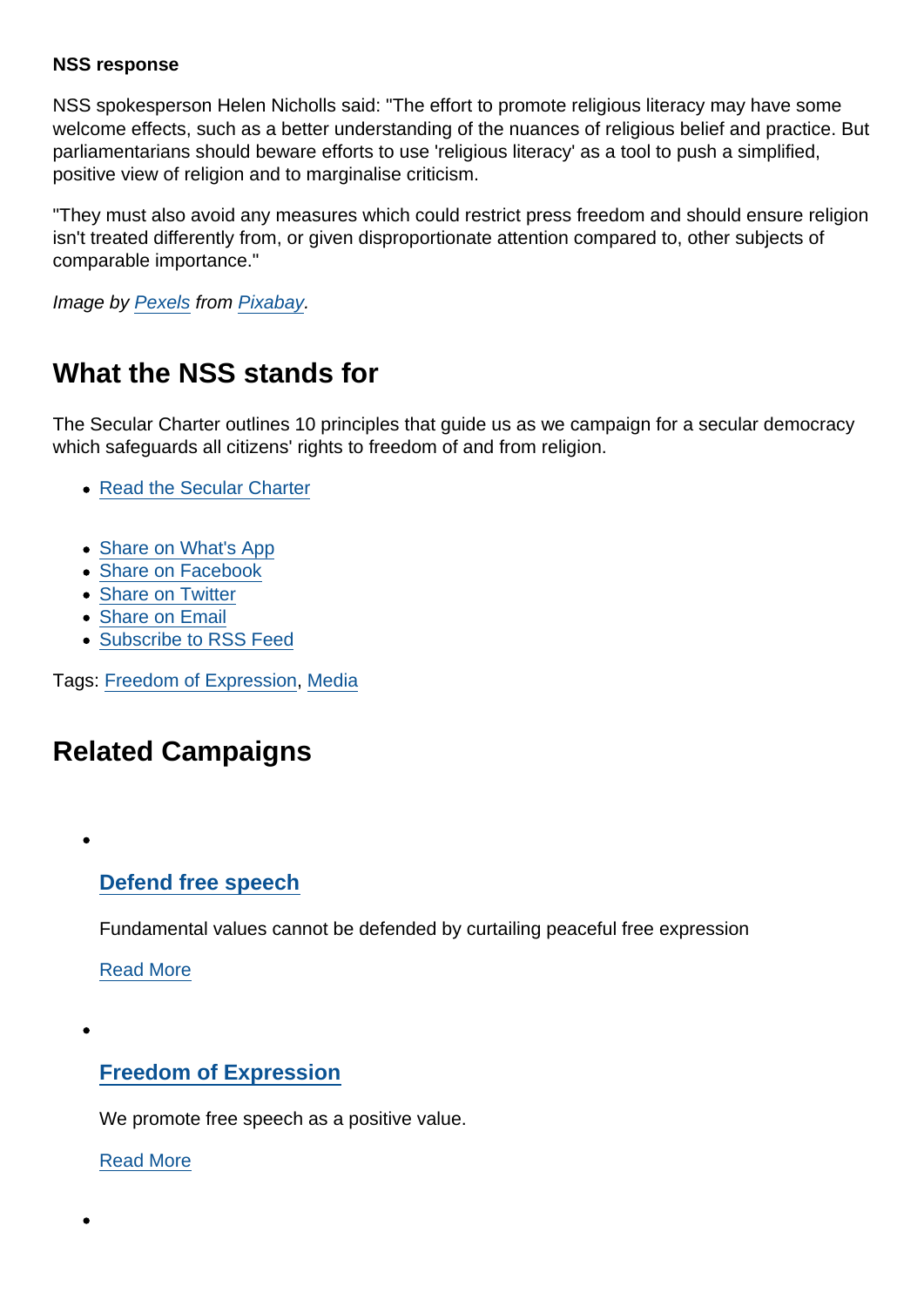#### NSS response

NSS spokesperson Helen Nicholls said: "The effort to promote religious literacy may have some welcome effects, such as a better understanding of the nuances of religious belief and practice. But parliamentarians should beware efforts to use 'religious literacy' as a tool to push a simplified, positive view of religion and to marginalise criticism.

"They must also avoid any measures which could restrict press freedom and should ensure religion isn't treated differently from, or given disproportionate attention compared to, other subjects of comparable importance."

Image by [Pexels](https://pixabay.com/users/Pexels-2286921/?utm_source=link-attribution&utm_medium=referral&utm_campaign=image&utm_content=1853667) from [Pixabay](https://pixabay.com/?utm_source=link-attribution&utm_medium=referral&utm_campaign=image&utm_content=1853667).

# What the NSS stands for

The Secular Charter outlines 10 principles that guide us as we campaign for a secular democracy which safeguards all citizens' rights to freedom of and from religion.

- [Read the Secular Charter](https://www.secularism.org.uk/the-secular-charter.html)
- [Share on What's App](whatsapp://send?text=http://www.secularism.org.uk/news/2020/04/religious-literacy-drive-mustnt-erode-press-freedom-says-nss?format=pdf)
- [Share on Facebook](https://www.facebook.com/sharer/sharer.php?u=http://www.secularism.org.uk/news/2020/04/religious-literacy-drive-mustnt-erode-press-freedom-says-nss?format=pdf&t=)
- [Share on Twitter](https://twitter.com/intent/tweet?url=http://www.secularism.org.uk/news/2020/04/religious-literacy-drive-mustnt-erode-press-freedom-says-nss?format=pdf&text=)
- [Share on Email](https://www.secularism.org.uk/share.html?url=http://www.secularism.org.uk/news/2020/04/religious-literacy-drive-mustnt-erode-press-freedom-says-nss?format=pdf&title=)
- [Subscribe to RSS Feed](/mnt/web-data/www/cp-nss/feeds/rss/news)

Tags: [Freedom of Expression](https://www.secularism.org.uk/news/tags/Freedom+of+Expression), [Media](https://www.secularism.org.uk/news/tags/Media)

## Related Campaigns

[Defend free speech](https://www.secularism.org.uk/defend-free-speech/)

Fundamental values cannot be defended by curtailing peaceful free expression

[Read More](https://www.secularism.org.uk/defend-free-speech/)

[Freedom of Expression](https://www.secularism.org.uk/free-expression/)

We promote free speech as a positive value.

[Read More](https://www.secularism.org.uk/free-expression/)